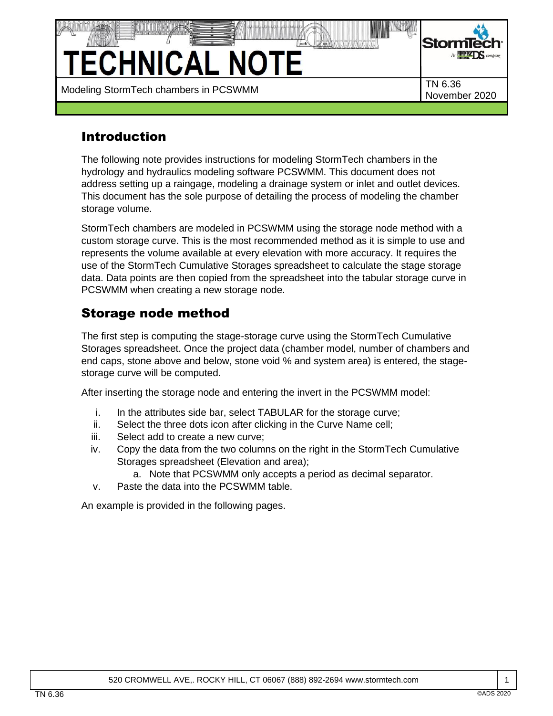

# Introduction

The following note provides instructions for modeling StormTech chambers in the hydrology and hydraulics modeling software PCSWMM. This document does not address setting up a raingage, modeling a drainage system or inlet and outlet devices. This document has the sole purpose of detailing the process of modeling the chamber storage volume.

StormTech chambers are modeled in PCSWMM using the storage node method with a custom storage curve. This is the most recommended method as it is simple to use and represents the volume available at every elevation with more accuracy. It requires the use of the StormTech Cumulative Storages spreadsheet to calculate the stage storage data. Data points are then copied from the spreadsheet into the tabular storage curve in PCSWMM when creating a new storage node.

## Storage node method

The first step is computing the stage-storage curve using the StormTech Cumulative Storages spreadsheet. Once the project data (chamber model, number of chambers and end caps, stone above and below, stone void % and system area) is entered, the stagestorage curve will be computed.

After inserting the storage node and entering the invert in the PCSWMM model:

- i. In the attributes side bar, select TABULAR for the storage curve;
- ii. Select the three dots icon after clicking in the Curve Name cell;
- iii. Select add to create a new curve;
- iv. Copy the data from the two columns on the right in the StormTech Cumulative Storages spreadsheet (Elevation and area);
	- a. Note that PCSWMM only accepts a period as decimal separator.
- v. Paste the data into the PCSWMM table.

An example is provided in the following pages.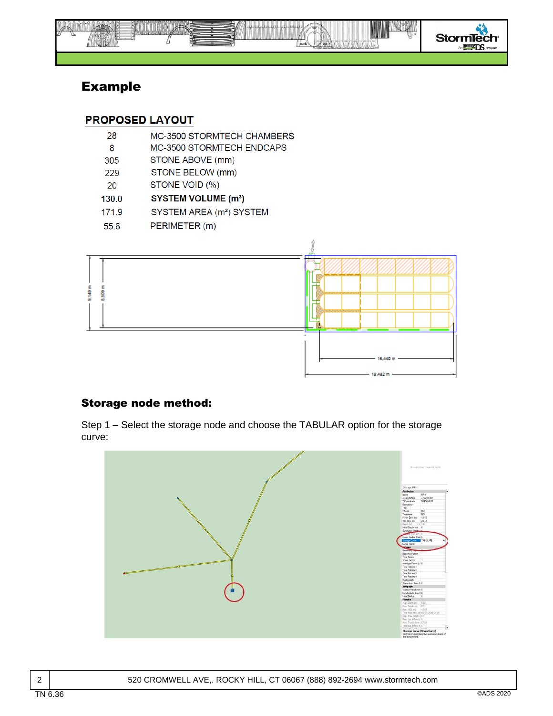

## Example

#### **PROPOSED LAYOUT**

- 28 MC-3500 STORMTECH CHAMBERS
- 8 MC-3500 STORMTECH ENDCAPS
- STONE ABOVE (mm) 305
- STONE BELOW (mm) 229
- STONE VOID (%) 20
- 130.0 **SYSTEM VOLUME (m<sup>3</sup>)**
- 171.9 SYSTEM AREA (m<sup>2</sup>) SYSTEM
- 55.6 PERIMETER (m)



### Storage node method:

Step 1 – Select the storage node and choose the TABULAR option for the storage curve:

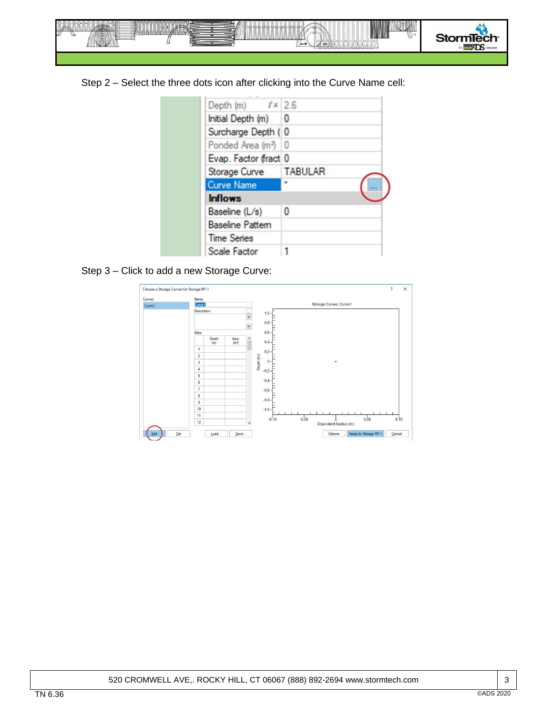

Step 2 – Select the three dots icon after clicking into the Curve Name cell:

|  | Depth (m) $f \times 2.6$        |                |
|--|---------------------------------|----------------|
|  | Initial Depth (m) 0             |                |
|  | Surcharge Depth (0              |                |
|  | Ponded Area (m <sup>2</sup> ) 0 |                |
|  | Evap. Factor (fract 0           |                |
|  | Storage Curve                   | <b>TABULAR</b> |
|  | <b>Curve Name</b>               |                |
|  | <b>Inflows</b>                  |                |
|  | Baseline (L/s)                  | 0              |
|  | <b>Baseline Pattem</b>          |                |
|  | <b>Time Series</b>              |                |
|  | Scale Factor                    |                |

Step 3 – Click to add a new Storage Curve: